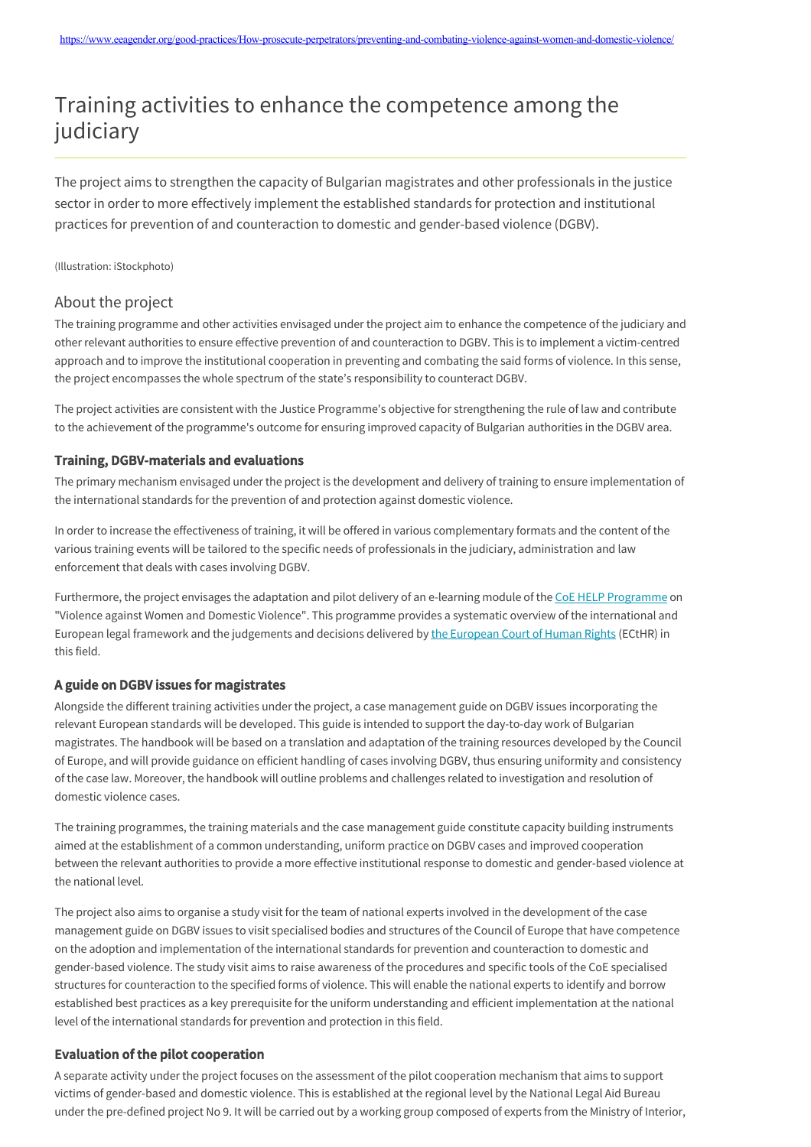# Training activities to enhance the competence among the judiciary

The project aims to strengthen the capacity of Bulgarian magistrates and other professionals in the justice sector in order to more effectively implement the established standards for protection and institutional practices for prevention of and counteraction to domestic and gender-based violence (DGBV).

(Illustration: iStockphoto)

# About the project

The training programme and other activities envisaged under the project aim to enhance the competence of the judiciary and other relevant authorities to ensure effective prevention of and counteraction to DGBV. This is to implement a victim-centred approach and to improve the institutional cooperation in preventing and combating the said forms of violence. In this sense, the project encompasses the whole spectrum of the state's responsibility to counteract DGBV.

The project activities are consistent with the Justice Programme's objective for strengthening the rule of law and contribute to the achievement of the programme's outcome for ensuring improved capacity of Bulgarian authorities in the DGBV area.

#### Training, DGBV-materials and evaluations

The primary mechanism envisaged under the project is the development and delivery of training to ensure implementation of the international standards for the prevention of and protection against domestic violence.

In order to increase the effectiveness of training, it will be offered in various complementary formats and the content of the various training events will be tailored to the specific needs of professionals in the judiciary, administration and law enforcement that deals with cases involving DGBV.

Furthermore, the project envisages the adaptation and pilot delivery of an e-learning module of the [CoE HELP Programme](https://www.coe.int/en/web/genderequality/help-online-course-on-violence-against-women-and-domestic-violence) on "Violence against Women and Domestic Violence". This programme provides a systematic overview of the international and European legal framework and the judgements and decisions delivered by [the European Court of Human Rights](https://www.echr.coe.int/Pages/home.aspx?p=home) (ECtHR) in this field.

#### A guide on DGBV issues for magistrates

Alongside the different training activities under the project, a case management guide on DGBV issues incorporating the relevant European standards will be developed. This guide is intended to support the day-to-day work of Bulgarian magistrates. The handbook will be based on a translation and adaptation of the training resources developed by the Council of Europe, and will provide guidance on efficient handling of cases involving DGBV, thus ensuring uniformity and consistency of the case law. Moreover, the handbook will outline problems and challenges related to investigation and resolution of domestic violence cases.

The training programmes, the training materials and the case management guide constitute capacity building instruments aimed at the establishment of a common understanding, uniform practice on DGBV cases and improved cooperation between the relevant authorities to provide a more effective institutional response to domestic and gender-based violence at the national level.

The project also aims to organise a study visit for the team of national experts involved in the development of the case management guide on DGBV issues to visit specialised bodies and structures of the Council of Europe that have competence on the adoption and implementation of the international standards for prevention and counteraction to domestic and gender-based violence. The study visit aims to raise awareness of the procedures and specific tools of the CoE specialised structures for counteraction to the specified forms of violence. This will enable the national experts to identify and borrow established best practices as a key prerequisite for the uniform understanding and efficient implementation at the national level of the international standards for prevention and protection in this field.

## Evaluation of the pilot cooperation

A separate activity under the project focuses on the assessment of the pilot cooperation mechanism that aims to support victims of gender-based and domestic violence. This is established at the regional level by the National Legal Aid Bureau under the pre-defined project No 9. It will be carried out by a working group composed of experts from the Ministry of Interior,